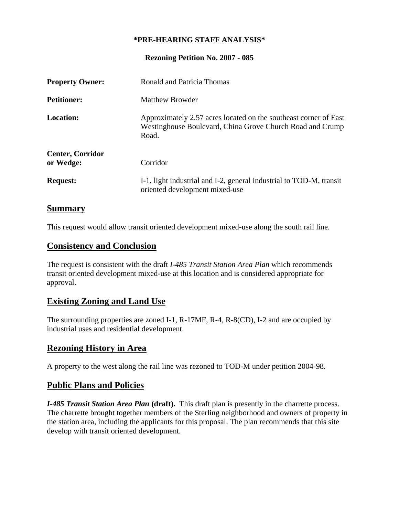#### **\*PRE-HEARING STAFF ANALYSIS\***

**Rezoning Petition No. 2007 - 085** 

| <b>Property Owner:</b>               | Ronald and Patricia Thomas                                                                                                             |
|--------------------------------------|----------------------------------------------------------------------------------------------------------------------------------------|
| <b>Petitioner:</b>                   | Matthew Browder                                                                                                                        |
| Location:                            | Approximately 2.57 acres located on the southeast corner of East<br>Westinghouse Boulevard, China Grove Church Road and Crump<br>Road. |
| <b>Center, Corridor</b><br>or Wedge: | Corridor                                                                                                                               |
| <b>Request:</b>                      | I-1, light industrial and I-2, general industrial to TOD-M, transit<br>oriented development mixed-use                                  |

### **Summary**

This request would allow transit oriented development mixed-use along the south rail line.

### **Consistency and Conclusion**

The request is consistent with the draft *I-485 Transit Station Area Plan* which recommends transit oriented development mixed-use at this location and is considered appropriate for approval.

### **Existing Zoning and Land Use**

The surrounding properties are zoned I-1, R-17MF, R-4, R-8(CD), I-2 and are occupied by industrial uses and residential development.

### **Rezoning History in Area**

A property to the west along the rail line was rezoned to TOD-M under petition 2004-98.

### **Public Plans and Policies**

*I-485 Transit Station Area Plan* **(draft).** This draft plan is presently in the charrette process. The charrette brought together members of the Sterling neighborhood and owners of property in the station area, including the applicants for this proposal. The plan recommends that this site develop with transit oriented development.